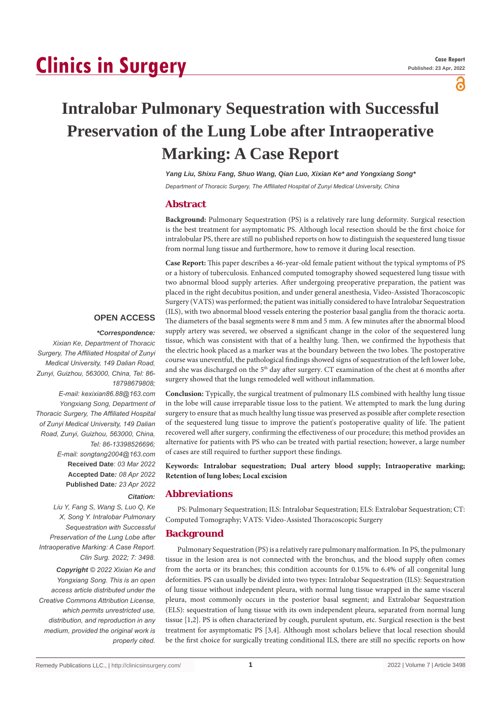# **Clinics in Surgery**

႕

## **Intralobar Pulmonary Sequestration with Successful Preservation of the Lung Lobe after Intraoperative Marking: A Case Report**

*Yang Liu, Shixu Fang, Shuo Wang, Qian Luo, Xixian Ke\* and Yongxiang Song\** 

*Department of Thoracic Surgery, The Affiliated Hospital of Zunyi Medical University, China*

## **Abstract**

**Background:** Pulmonary Sequestration (PS) is a relatively rare lung deformity. Surgical resection is the best treatment for asymptomatic PS. Although local resection should be the first choice for intralobular PS, there are still no published reports on how to distinguish the sequestered lung tissue from normal lung tissue and furthermore, how to remove it during local resection.

**Case Report:** This paper describes a 46-year-old female patient without the typical symptoms of PS or a history of tuberculosis. Enhanced computed tomography showed sequestered lung tissue with two abnormal blood supply arteries. After undergoing preoperative preparation, the patient was placed in the right decubitus position, and under general anesthesia, Video-Assisted Thoracoscopic Surgery (VATS) was performed; the patient was initially considered to have Intralobar Sequestration (ILS), with two abnormal blood vessels entering the posterior basal ganglia from the thoracic aorta. The diameters of the basal segments were 8 mm and 5 mm. A few minutes after the abnormal blood supply artery was severed, we observed a significant change in the color of the sequestered lung tissue, which was consistent with that of a healthy lung. Then, we confirmed the hypothesis that the electric hook placed as a marker was at the boundary between the two lobes. The postoperative course was uneventful, the pathological findings showed signs of sequestration of the left lower lobe, and she was discharged on the 5<sup>th</sup> day after surgery. CT examination of the chest at 6 months after surgery showed that the lungs remodeled well without inflammation.

**Conclusion:** Typically, the surgical treatment of pulmonary ILS combined with healthy lung tissue in the lobe will cause irreparable tissue loss to the patient. We attempted to mark the lung during surgery to ensure that as much healthy lung tissue was preserved as possible after complete resection of the sequestered lung tissue to improve the patient's postoperative quality of life. The patient recovered well after surgery, confirming the effectiveness of our procedure; this method provides an alternative for patients with PS who can be treated with partial resection; however, a large number of cases are still required to further support these findings.

**Keywords: Intralobar sequestration; Dual artery blood supply; Intraoperative marking; Retention of lung lobes; Local excision**

## **Abbreviations**

PS: Pulmonary Sequestration; ILS: Intralobar Sequestration; ELS: Extralobar Sequestration; CT: Computed Tomography; VATS: Video-Assisted Thoracoscopic Surgery

## **Background**

Pulmonary Sequestration (PS) is a relatively rare pulmonary malformation. In PS, the pulmonary tissue in the lesion area is not connected with the bronchus, and the blood supply often comes from the aorta or its branches; this condition accounts for 0.15% to 6.4% of all congenital lung deformities. PS can usually be divided into two types: Intralobar Sequestration (ILS): Sequestration of lung tissue without independent pleura, with normal lung tissue wrapped in the same visceral pleura, most commonly occurs in the posterior basal segment; and Extralobar Sequestration (ELS): sequestration of lung tissue with its own independent pleura, separated from normal lung tissue [1,2]. PS is often characterized by cough, purulent sputum, etc. Surgical resection is the best treatment for asymptomatic PS [3,4]. Although most scholars believe that local resection should be the first choice for surgically treating conditional ILS, there are still no specific reports on how

## **OPEN ACCESS**

#### *\*Correspondence:*

*Xixian Ke, Department of Thoracic Surgery, The Affiliated Hospital of Zunyi Medical University, 149 Dalian Road, Zunyi, Guizhou, 563000, China, Tel: 86- 18798679808;*

*E-mail: kexixian86.88@163.com Yongxiang Song, Department of Thoracic Surgery, The Affiliated Hospital of Zunyi Medical University, 149 Dalian Road, Zunyi, Guizhou, 563000, China, Tel: 86-13398526696; E-mail: songtang2004@163.com* **Received Date**: *03 Mar 2022* **Accepted Date***: 08 Apr 2022* **Published Date***: 23 Apr 2022*

## *Citation:*

*Liu Y, Fang S, Wang S, Luo Q, Ke X, Song Y. Intralobar Pulmonary Sequestration with Successful Preservation of the Lung Lobe after Intraoperative Marking: A Case Report. Clin Surg. 2022; 7: 3498.*

*Copyright © 2022 Xixian Ke and Yongxiang Song. This is an open access article distributed under the Creative Commons Attribution License, which permits unrestricted use, distribution, and reproduction in any medium, provided the original work is properly cited.*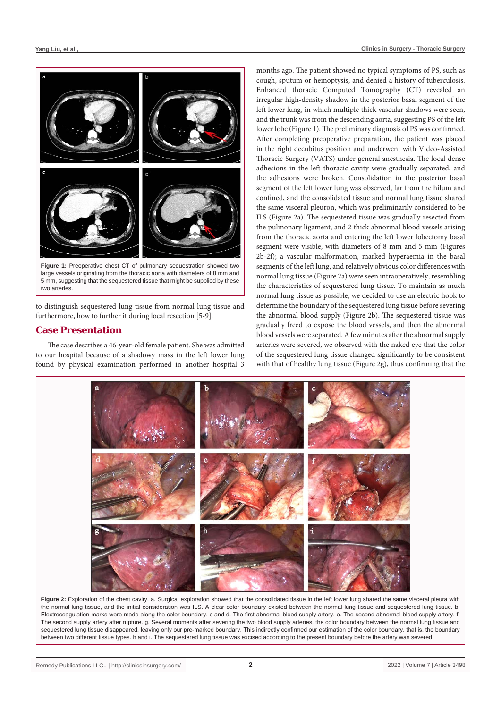

**Figure 1:** Preoperative chest CT of pulmonary sequestration showed two large vessels originating from the thoracic aorta with diameters of 8 mm and 5 mm, suggesting that the sequestered tissue that might be supplied by these two arteries.

to distinguish sequestered lung tissue from normal lung tissue and furthermore, how to further it during local resection [5-9].

## **Case Presentation**

The case describes a 46-year-old female patient. She was admitted to our hospital because of a shadowy mass in the left lower lung found by physical examination performed in another hospital 3

months ago. The patient showed no typical symptoms of PS, such as cough, sputum or hemoptysis, and denied a history of tuberculosis. Enhanced thoracic Computed Tomography (CT) revealed an irregular high-density shadow in the posterior basal segment of the left lower lung, in which multiple thick vascular shadows were seen, and the trunk was from the descending aorta, suggesting PS of the left lower lobe (Figure 1). The preliminary diagnosis of PS was confirmed. After completing preoperative preparation, the patient was placed in the right decubitus position and underwent with Video-Assisted Thoracic Surgery (VATS) under general anesthesia. The local dense adhesions in the left thoracic cavity were gradually separated, and the adhesions were broken. Consolidation in the posterior basal segment of the left lower lung was observed, far from the hilum and confined, and the consolidated tissue and normal lung tissue shared the same visceral pleuron, which was preliminarily considered to be ILS (Figure 2a). The sequestered tissue was gradually resected from the pulmonary ligament, and 2 thick abnormal blood vessels arising from the thoracic aorta and entering the left lower lobectomy basal segment were visible, with diameters of 8 mm and 5 mm (Figures 2b-2f); a vascular malformation, marked hyperaemia in the basal segments of the left lung, and relatively obvious color differences with normal lung tissue (Figure 2a) were seen intraoperatively, resembling the characteristics of sequestered lung tissue. To maintain as much normal lung tissue as possible, we decided to use an electric hook to determine the boundary of the sequestered lung tissue before severing the abnormal blood supply (Figure 2b). The sequestered tissue was gradually freed to expose the blood vessels, and then the abnormal blood vessels were separated. A few minutes after the abnormal supply arteries were severed, we observed with the naked eye that the color of the sequestered lung tissue changed significantly to be consistent with that of healthy lung tissue (Figure 2g), thus confirming that the



Figure 2: Exploration of the chest cavity. a. Surgical exploration showed that the consolidated tissue in the left lower lung shared the same visceral pleura with the normal lung tissue, and the initial consideration was ILS. A clear color boundary existed between the normal lung tissue and sequestered lung tissue. b. Electrocoagulation marks were made along the color boundary. c and d. The first abnormal blood supply artery. e. The second abnormal blood supply artery. f. The second supply artery after rupture. g. Several moments after severing the two blood supply arteries, the color boundary between the normal lung tissue and sequestered lung tissue disappeared, leaving only our pre-marked boundary. This indirectly confirmed our estimation of the color boundary, that is, the boundary between two different tissue types. h and i. The sequestered lung tissue was excised according to the present boundary before the artery was severed.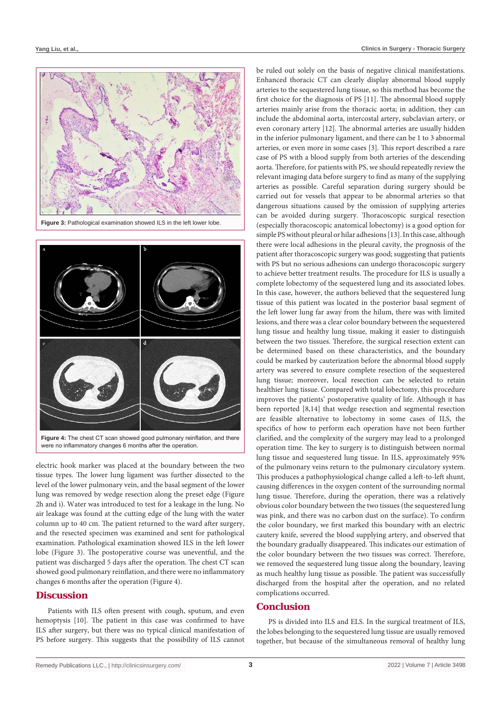

**Figure 3:** Pathological examination showed ILS in the left lower lobe.



were no inflammatory changes 6 months after the operation.

electric hook marker was placed at the boundary between the two tissue types. The lower lung ligament was further dissected to the level of the lower pulmonary vein, and the basal segment of the lower lung was removed by wedge resection along the preset edge (Figure 2h and i). Water was introduced to test for a leakage in the lung. No air leakage was found at the cutting edge of the lung with the water column up to 40 cm. The patient returned to the ward after surgery, and the resected specimen was examined and sent for pathological examination. Pathological examination showed ILS in the left lower lobe (Figure 3). The postoperative course was uneventful, and the patient was discharged 5 days after the operation. The chest CT scan showed good pulmonary reinflation, and there were no inflammatory changes 6 months after the operation (Figure 4).

## **Discussion**

Patients with ILS often present with cough, sputum, and even hemoptysis [10]. The patient in this case was confirmed to have ILS after surgery, but there was no typical clinical manifestation of PS before surgery. This suggests that the possibility of ILS cannot

be ruled out solely on the basis of negative clinical manifestations. Enhanced thoracic CT can clearly display abnormal blood supply arteries to the sequestered lung tissue, so this method has become the first choice for the diagnosis of PS [11]. The abnormal blood supply arteries mainly arise from the thoracic aorta; in addition, they can include the abdominal aorta, intercostal artery, subclavian artery, or even coronary artery [12]. The abnormal arteries are usually hidden in the inferior pulmonary ligament, and there can be 1 to 3 abnormal arteries, or even more in some cases [3]. This report described a rare case of PS with a blood supply from both arteries of the descending aorta. Therefore, for patients with PS, we should repeatedly review the relevant imaging data before surgery to find as many of the supplying arteries as possible. Careful separation during surgery should be carried out for vessels that appear to be abnormal arteries so that dangerous situations caused by the omission of supplying arteries can be avoided during surgery. Thoracoscopic surgical resection (especially thoracoscopic anatomical lobectomy) is a good option for simple PS without pleural or hilar adhesions [13]. In this case, although there were local adhesions in the pleural cavity, the prognosis of the patient after thoracoscopic surgery was good; suggesting that patients with PS but no serious adhesions can undergo thoracoscopic surgery to achieve better treatment results. The procedure for ILS is usually a complete lobectomy of the sequestered lung and its associated lobes. In this case, however, the authors believed that the sequestered lung tissue of this patient was located in the posterior basal segment of the left lower lung far away from the hilum, there was with limited lesions, and there was a clear color boundary between the sequestered lung tissue and healthy lung tissue, making it easier to distinguish between the two tissues. Therefore, the surgical resection extent can be determined based on these characteristics, and the boundary could be marked by cauterization before the abnormal blood supply artery was severed to ensure complete resection of the sequestered lung tissue; moreover, local resection can be selected to retain healthier lung tissue. Compared with total lobectomy, this procedure improves the patients' postoperative quality of life. Although it has been reported [8,14] that wedge resection and segmental resection are feasible alternative to lobectomy in some cases of ILS, the specifics of how to perform each operation have not been further clarified, and the complexity of the surgery may lead to a prolonged operation time. The key to surgery is to distinguish between normal lung tissue and sequestered lung tissue. In ILS, approximately 95% of the pulmonary veins return to the pulmonary circulatory system. This produces a pathophysiological change called a left-to-left shunt, causing differences in the oxygen content of the surrounding normal lung tissue. Therefore, during the operation, there was a relatively obvious color boundary between the two tissues (the sequestered lung was pink, and there was no carbon dust on the surface). To confirm the color boundary, we first marked this boundary with an electric cautery knife, severed the blood supplying artery, and observed that the boundary gradually disappeared. This indicates our estimation of the color boundary between the two tissues was correct. Therefore, we removed the sequestered lung tissue along the boundary, leaving as much healthy lung tissue as possible. The patient was successfully discharged from the hospital after the operation, and no related complications occurred.

#### **Conclusion**

PS is divided into ILS and ELS. In the surgical treatment of ILS, the lobes belonging to the sequestered lung tissue are usually removed together, but because of the simultaneous removal of healthy lung